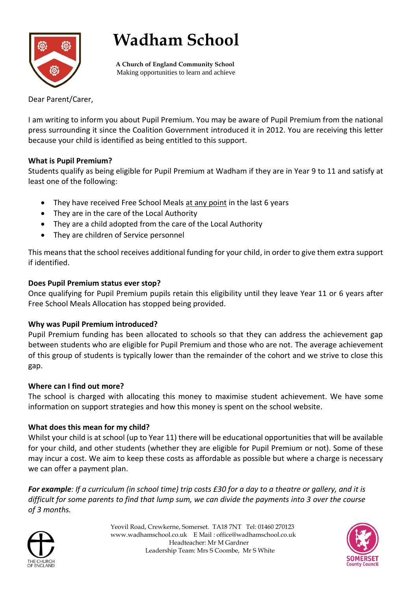# **Wadham School**

 **A Church of England Community School** Making opportunities to learn and achieve

Dear Parent/Carer,

I am writing to inform you about Pupil Premium. You may be aware of Pupil Premium from the national press surrounding it since the Coalition Government introduced it in 2012. You are receiving this letter because your child is identified as being entitled to this support.

# **What is Pupil Premium?**

Students qualify as being eligible for Pupil Premium at Wadham if they are in Year 9 to 11 and satisfy at least one of the following:

- They have received Free School Meals at any point in the last 6 years
- They are in the care of the Local Authority
- They are a child adopted from the care of the Local Authority
- They are children of Service personnel

This means that the school receives additional funding for your child, in order to give them extra support if identified.

# **Does Pupil Premium status ever stop?**

Once qualifying for Pupil Premium pupils retain this eligibility until they leave Year 11 or 6 years after Free School Meals Allocation has stopped being provided.

# **Why was Pupil Premium introduced?**

Pupil Premium funding has been allocated to schools so that they can address the achievement gap between students who are eligible for Pupil Premium and those who are not. The average achievement of this group of students is typically lower than the remainder of the cohort and we strive to close this gap.

# **Where can I find out more?**

The school is charged with allocating this money to maximise student achievement. We have some information on support strategies and how this money is spent on the school website.

# **What does this mean for my child?**

Whilst your child is at school (up to Year 11) there will be educational opportunities that will be available for your child, and other students (whether they are eligible for Pupil Premium or not). Some of these may incur a cost. We aim to keep these costs as affordable as possible but where a charge is necessary we can offer a payment plan.

*For example: If a curriculum (in school time) trip costs £30 for a day to a theatre or gallery, and it is difficult for some parents to find that lump sum, we can divide the payments into 3 over the course of 3 months.*



 Yeovil Road, Crewkerne, Somerset. TA18 7NT Tel: 01460 270123 www.wadhamschool.co.uk E Mail : office@wadhamschool.co.uk Headteacher: Mr M Gardner Leadership Team: Mrs S Coombe, Mr S White